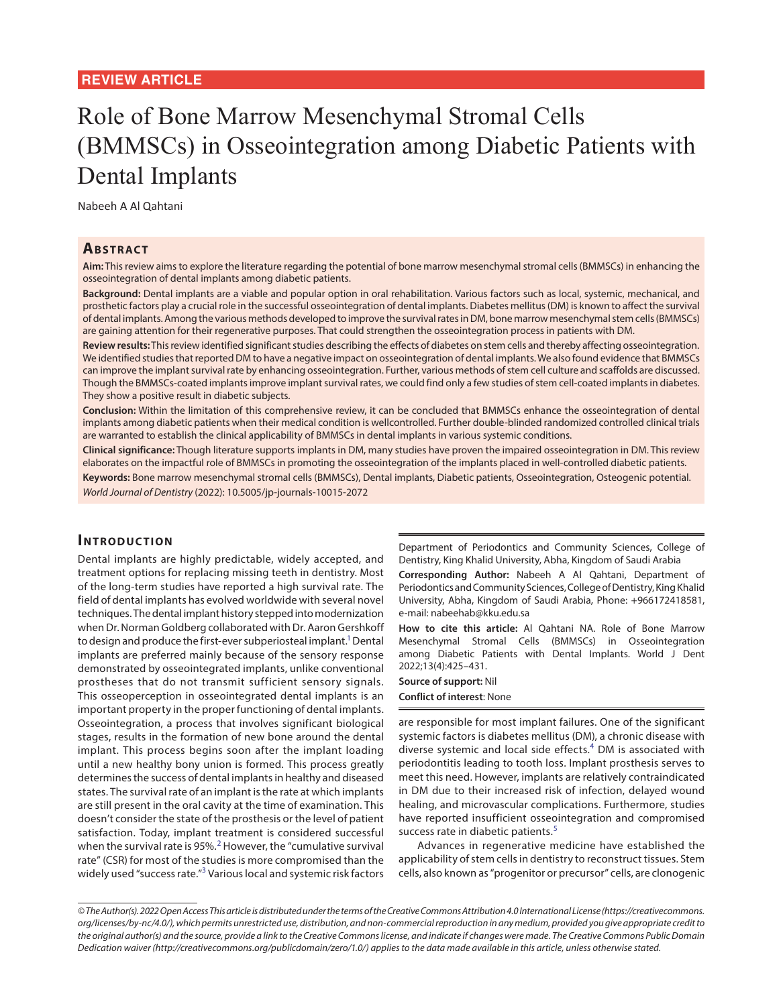# Role of Bone Marrow Mesenchymal Stromal Cells (BMMSCs) in Osseointegration among Diabetic Patients with Dental Implants

Nabeeh A Al Qahtani

#### **ABSTRACT**

**Aim:** This review aims to explore the literature regarding the potential of bone marrow mesenchymal stromal cells (BMMSCs) in enhancing the osseointegration of dental implants among diabetic patients.

**Background:** Dental implants are a viable and popular option in oral rehabilitation. Various factors such as local, systemic, mechanical, and prosthetic factors play a crucial role in the successful osseointegration of dental implants. Diabetes mellitus (DM) is known to affect the survival of dental implants. Among the various methods developed to improve the survival rates in DM, bone marrow mesenchymal stem cells (BMMSCs) are gaining attention for their regenerative purposes. That could strengthen the osseointegration process in patients with DM.

**Review results:** This review identified significant studies describing the effects of diabetes on stem cells and thereby affecting osseointegration. We identified studies that reported DM to have a negative impact on osseointegration of dental implants. We also found evidence that BMMSCs can improve the implant survival rate by enhancing osseointegration. Further, various methods of stem cell culture and scaffolds are discussed. Though the BMMSCs-coated implants improve implant survival rates, we could find only a few studies of stem cell-coated implants in diabetes. They show a positive result in diabetic subjects.

**Conclusion:** Within the limitation of this comprehensive review, it can be concluded that BMMSCs enhance the osseointegration of dental implants among diabetic patients when their medical condition is wellcontrolled. Further double-blinded randomized controlled clinical trials are warranted to establish the clinical applicability of BMMSCs in dental implants in various systemic conditions.

**Clinical significance:** Though literature supports implants in DM, many studies have proven the impaired osseointegration in DM. This review elaborates on the impactful role of BMMSCs in promoting the osseointegration of the implants placed in well-controlled diabetic patients.

**Keywords:** Bone marrow mesenchymal stromal cells (BMMSCs), Dental implants, Diabetic patients, Osseointegration, Osteogenic potential. *World Journal of Dentistry* (2022): 10.5005/jp-journals-10015-2072

#### **INTRODUCTION**

Dental implants are highly predictable, widely accepted, and treatment options for replacing missing teeth in dentistry. Most of the long-term studies have reported a high survival rate. The field of dental implants has evolved worldwide with several novel techniques. The dental implant history stepped into modernization when Dr. Norman Goldberg collaborated with Dr. Aaron Gershkoff to design and produce the first-ever subperiosteal implant.<sup>1</sup> Dental implants are preferred mainly because of the sensory response demonstrated by osseointegrated implants, unlike conventional prostheses that do not transmit sufficient sensory signals. This osseoperception in osseointegrated dental implants is an important property in the proper functioning of dental implants. Osseointegration, a process that involves significant biological stages, results in the formation of new bone around the dental implant. This process begins soon after the implant loading until a new healthy bony union is formed. This process greatly determines the success of dental implants in healthy and diseased states. The survival rate of an implant is the rate at which implants are still present in the oral cavity at the time of examination. This doesn't consider the state of the prosthesis or the level of patient satisfaction. Today, implant treatment is considered successful when the survival rate is 95%.<sup>[2](#page-5-3)</sup> However, the "cumulative survival rate" (CSR) for most of the studies is more compromised than the widely used "success rate."<sup>[3](#page-5-4)</sup> Various local and systemic risk factors

Department of Periodontics and Community Sciences, College of Dentistry, King Khalid University, Abha, Kingdom of Saudi Arabia

**Corresponding Author:** Nabeeh A Al Qahtani, Department of Periodontics and Community Sciences, College of Dentistry, King Khalid University, Abha, Kingdom of Saudi Arabia, Phone: +966172418581, e-mail: nabeehab@kku.edu.sa

<span id="page-0-0"></span>**How to cite this article:** Al Qahtani NA. Role of Bone Marrow Mesenchymal Stromal Cells (BMMSCs) in Osseointegration among Diabetic Patients with Dental Implants. World J Dent 2022;13(4):425–431.

**Source of support:** Nil **Conflict of interest**: None

<span id="page-0-3"></span>are responsible for most implant failures. One of the significant systemic factors is diabetes mellitus (DM), a chronic disease with diverse systemic and local side effects.<sup>[4](#page-5-0)</sup> DM is associated with periodontitis leading to tooth loss. Implant prosthesis serves to meet this need. However, implants are relatively contraindicated in DM due to their increased risk of infection, delayed wound healing, and microvascular complications. Furthermore, studies have reported insufficient osseointegration and compromised success rate in diabetic patients.<sup>[5](#page-5-1)</sup>

<span id="page-0-4"></span><span id="page-0-2"></span><span id="page-0-1"></span>Advances in regenerative medicine have established the applicability of stem cells in dentistry to reconstruct tissues. Stem cells, also known as "progenitor or precursor" cells, are clonogenic

*<sup>©</sup> The Author(s). 2022 Open Access This article is distributed under the terms of the Creative Commons Attribution 4.0 International License (https://creativecommons. org/licenses/by-nc/4.0/), which permits unrestricted use, distribution, and non-commercial reproduction in any medium, provided you give appropriate credit to the original author(s) and the source, provide a link to the Creative Commons license, and indicate if changes were made. The Creative Commons Public Domain Dedication waiver (http://creativecommons.org/publicdomain/zero/1.0/) applies to the data made available in this article, unless otherwise stated.*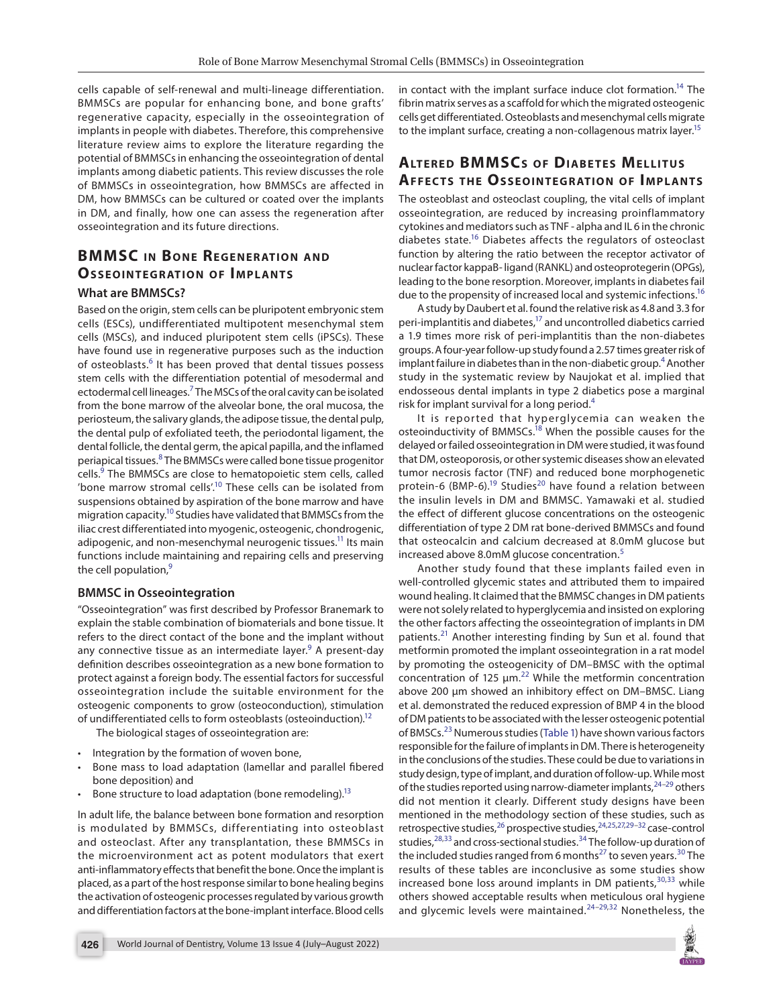cells capable of self-renewal and multi-lineage differentiation. BMMSCs are popular for enhancing bone, and bone grafts' regenerative capacity, especially in the osseointegration of implants in people with diabetes. Therefore, this comprehensive literature review aims to explore the literature regarding the potential of BMMSCs in enhancing the osseointegration of dental implants among diabetic patients. This review discusses the role of BMMSCs in osseointegration, how BMMSCs are affected in DM, how BMMSCs can be cultured or coated over the implants in DM, and finally, how one can assess the regeneration after osseointegration and its future directions.

# **BMMSC** IN BONE REGENERATION AND **OSSEOINTEGRATION OF IMPLANTS**

#### **What are BMMSCs?**

<span id="page-1-21"></span>Based on the origin, stem cells can be pluripotent embryonic stem cells (ESCs), undifferentiated multipotent mesenchymal stem cells (MSCs), and induced pluripotent stem cells (iPSCs). These have found use in regenerative purposes such as the induction of osteoblasts.<sup>[6](#page-5-19)</sup> It has been proved that dental tissues possess stem cells with the differentiation potential of mesodermal and ectodermal cell lineages.<sup>7</sup> The MSCs of the oral cavity can be isolated from the bone marrow of the alveolar bone, the oral mucosa, the periosteum, the salivary glands, the adipose tissue, the dental pulp, the dental pulp of exfoliated teeth, the periodontal ligament, the dental follicle, the dental germ, the apical papilla, and the inflamed periapical tissues.<sup>[8](#page-5-21)</sup> The BMMSCs were called bone tissue progenitor cells.<sup>[9](#page-5-22)</sup> The BMMSCs are close to hematopoietic stem cells, called 'bone marrow stromal cells'.<sup>10</sup> These cells can be isolated from suspensions obtained by aspiration of the bone marrow and have migration capacity.<sup>10</sup> Studies have validated that BMMSCs from the iliac crest differentiated into myogenic, osteogenic, chondrogenic, adipogenic, and non-mesenchymal neurogenic tissues.<sup>11</sup> Its main functions include maintaining and repairing cells and preserving the cell population, $9$ 

#### <span id="page-1-2"></span>**BMMSC in Osseointegration**

"Osseointegration" was first described by Professor Branemark to explain the stable combination of biomaterials and bone tissue. It refers to the direct contact of the bone and the implant without any connective tissue as an intermediate layer.<sup>9</sup> A present-day definition describes osseointegration as a new bone formation to protect against a foreign body. The essential factors for successful osseointegration include the suitable environment for the osteogenic components to grow (osteoconduction), stimulation of undifferentiated cells to form osteoblasts (osteoinduction)[.12](#page-5-25)

The biological stages of osseointegration are:

- Integration by the formation of woven bone,
- Bone mass to load adaptation (lamellar and parallel fibered bone deposition) and
- Bone structure to load adaptation (bone remodeling).<sup>13</sup>

In adult life, the balance between bone formation and resorption is modulated by BMMSCs, differentiating into osteoblast and osteoclast. After any transplantation, these BMMSCs in the microenvironment act as potent modulators that exert anti-inflammatory effects that benefit the bone. Once the implant is placed, as a part of the host response similar to bone healing begins the activation of osteogenic processes regulated by various growth and differentiation factors at the bone-implant interface. Blood cells <span id="page-1-7"></span>in contact with the implant surface induce clot formation.<sup>14</sup> The fibrin matrix serves as a scaffold for which the migrated osteogenic cells get differentiated. Osteoblasts and mesenchymal cells migrate to the implant surface, creating a non-collagenous matrix layer.<sup>15</sup>

# <span id="page-1-8"></span>**ALTERED BMMSCS OF DIABETES MELLITUS AFFECTS THE OSSEOINTEGRATION OF IMPLANTS**

<span id="page-1-9"></span>The osteoblast and osteoclast coupling, the vital cells of implant osseointegration, are reduced by increasing proinflammatory cytokines and mediators such as TNF - alpha and IL 6 in the chronic diabetes state[.16](#page-5-7) Diabetes affects the regulators of osteoclast function by altering the ratio between the receptor activator of nuclear factor kappaB- ligand (RANKL) and osteoprotegerin (OPGs), leading to the bone resorption. Moreover, implants in diabetes fail due to the propensity of increased local and systemic infections.<sup>16</sup>

<span id="page-1-10"></span>A study by Daubert et al. found the relative risk as 4.8 and 3.3 for peri-implantitis and diabetes,<sup>17</sup> and uncontrolled diabetics carried a 1.9 times more risk of peri-implantitis than the non-diabetes groups. A four-year follow-up study found a 2.57 times greater risk of implant failure in diabetes than in the non-diabetic group.<sup>4</sup> Another study in the systematic review by Naujokat et al. implied that endosseous dental implants in type 2 diabetics pose a marginal risk for implant survival for a long period.<sup>[4](#page-5-0)</sup>

<span id="page-1-22"></span><span id="page-1-13"></span><span id="page-1-12"></span><span id="page-1-11"></span><span id="page-1-3"></span><span id="page-1-1"></span>It is reported that hyperglycemia can weaken the osteoinductivity of BMMSCs.<sup>18</sup> When the possible causes for the delayed or failed osseointegration in DM were studied, it was found that DM, osteoporosis, or other systemic diseases show an elevated tumor necrosis factor (TNF) and reduced bone morphogenetic protein-6 (BMP-6).<sup>19</sup> Studies<sup>20</sup> have found a relation between the insulin levels in DM and BMMSC. Yamawaki et al. studied the effect of different glucose concentrations on the osteogenic differentiation of type 2 DM rat bone-derived BMMSCs and found that osteocalcin and calcium decreased at 8.0mM glucose but increased above 8.0mM glucose concentration.[5](#page-5-1)

<span id="page-1-16"></span><span id="page-1-14"></span><span id="page-1-4"></span>Another study found that these implants failed even in well-controlled glycemic states and attributed them to impaired wound healing. It claimed that the BMMSC changes in DM patients were not solely related to hyperglycemia and insisted on exploring the other factors affecting the osseointegration of implants in DM patients.<sup>[21](#page-5-12)</sup> Another interesting finding by Sun et al. found that metformin promoted the implant osseointegration in a rat model by promoting the osteogenicity of DM–BMSC with the optimal concentration of 125 μm.<sup>22</sup> While the metformin concentration above 200 μm showed an inhibitory effect on DM–BMSC. Liang et al. demonstrated the reduced expression of BMP 4 in the blood of DM patients to be associated with the lesser osteogenic potential of BMSCs.[23](#page-5-14) Numerous studies ([Table 1](#page-2-0)) have shown various factors responsible for the failure of implants in DM. There is heterogeneity in the conclusions of the studies. These could be due to variations in study design, type of implant, and duration of follow-up. While most of the studies reported using narrow-diameter implants, $24-29$  $24-29$  others did not mention it clearly. Different study designs have been mentioned in the methodology section of these studies, such as retrospective studies,<sup>26</sup> prospective studies,<sup>[24](#page-5-15),[25,](#page-5-17)[27,](#page-5-18)29-[32](#page-6-1)</sup> case-control studies, $28,33$  $28,33$  and cross-sectional studies.  $34$  The follow-up duration of the included studies ranged from 6 months<sup>27</sup> to seven years.<sup>30</sup> The results of these tables are inconclusive as some studies show increased bone loss around implants in DM patients,  $30,33$  $30,33$  while others showed acceptable results when meticulous oral hygiene and glycemic levels were maintained.[24–](#page-5-15)[29](#page-6-0),[32](#page-6-1) Nonetheless, the

<span id="page-1-28"></span><span id="page-1-27"></span><span id="page-1-26"></span><span id="page-1-25"></span><span id="page-1-24"></span><span id="page-1-23"></span><span id="page-1-20"></span><span id="page-1-19"></span><span id="page-1-18"></span><span id="page-1-17"></span><span id="page-1-15"></span><span id="page-1-6"></span><span id="page-1-5"></span><span id="page-1-0"></span>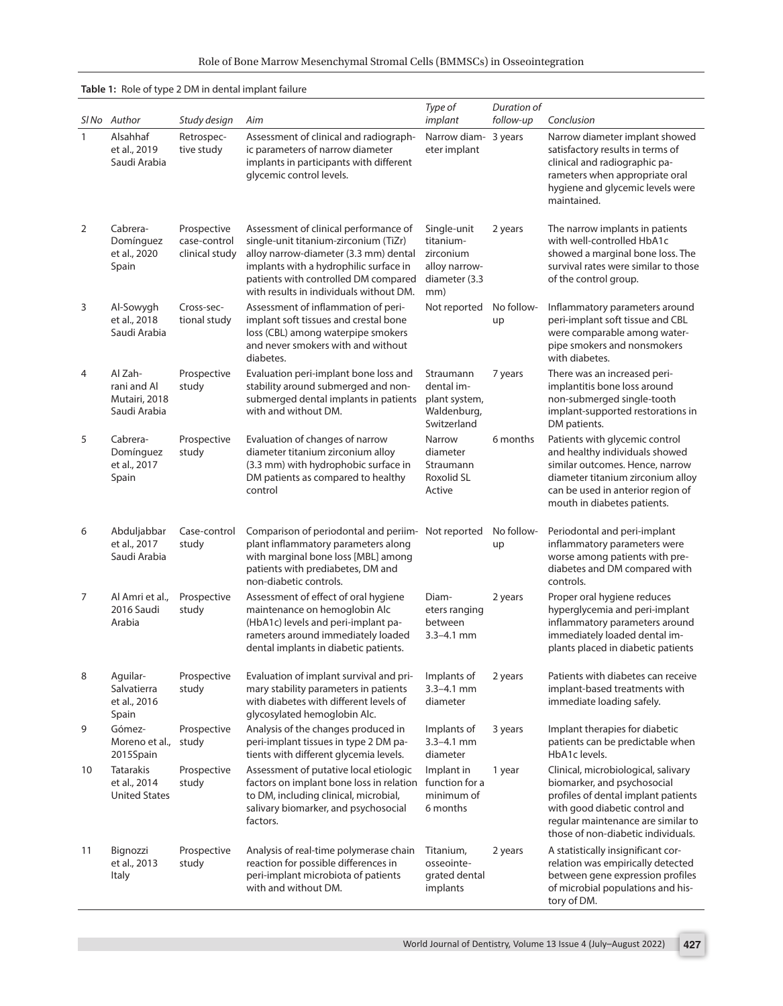| Role of Bone Marrow Mesenchymal Stromal Cells (BMMSCs) in Osseointegration |  |  |
|----------------------------------------------------------------------------|--|--|
|----------------------------------------------------------------------------|--|--|

|              | Table 1: Role of type 2 DM in dental implant failure     |                                               |                                                                                                                                                                                                                                                      |                                                                                |                          |                                                                                                                                                                                                                         |  |  |
|--------------|----------------------------------------------------------|-----------------------------------------------|------------------------------------------------------------------------------------------------------------------------------------------------------------------------------------------------------------------------------------------------------|--------------------------------------------------------------------------------|--------------------------|-------------------------------------------------------------------------------------------------------------------------------------------------------------------------------------------------------------------------|--|--|
|              | SINo Author                                              | Study design                                  | Aim                                                                                                                                                                                                                                                  | Type of<br>implant                                                             | Duration of<br>follow-up | Conclusion                                                                                                                                                                                                              |  |  |
| $\mathbf{1}$ | Alsahhaf<br>et al., 2019<br>Saudi Arabia                 | Retrospec-<br>tive study                      | Assessment of clinical and radiograph-<br>ic parameters of narrow diameter<br>implants in participants with different<br>glycemic control levels.                                                                                                    | Narrow diam- 3 years<br>eter implant                                           |                          | Narrow diameter implant showed<br>satisfactory results in terms of<br>clinical and radiographic pa-<br>rameters when appropriate oral<br>hygiene and glycemic levels were<br>maintained.                                |  |  |
| 2            | Cabrera-<br>Domínguez<br>et al., 2020<br>Spain           | Prospective<br>case-control<br>clinical study | Assessment of clinical performance of<br>single-unit titanium-zirconium (TiZr)<br>alloy narrow-diameter (3.3 mm) dental<br>implants with a hydrophilic surface in<br>patients with controlled DM compared<br>with results in individuals without DM. | Single-unit<br>titanium-<br>zirconium<br>alloy narrow-<br>diameter (3.3<br>mm) | 2 years                  | The narrow implants in patients<br>with well-controlled HbA1c<br>showed a marginal bone loss. The<br>survival rates were similar to those<br>of the control group.                                                      |  |  |
| 3            | Al-Sowygh<br>et al., 2018<br>Saudi Arabia                | Cross-sec-<br>tional study                    | Assessment of inflammation of peri-<br>implant soft tissues and crestal bone<br>loss (CBL) among waterpipe smokers<br>and never smokers with and without<br>diabetes.                                                                                | Not reported                                                                   | No follow-<br>up         | Inflammatory parameters around<br>peri-implant soft tissue and CBL<br>were comparable among water-<br>pipe smokers and nonsmokers<br>with diabetes.                                                                     |  |  |
| 4            | Al Zah-<br>rani and Al<br>Mutairi, 2018<br>Saudi Arabia  | Prospective<br>study                          | Evaluation peri-implant bone loss and<br>stability around submerged and non-<br>submerged dental implants in patients<br>with and without DM.                                                                                                        | Straumann<br>dental im-<br>plant system,<br>Waldenburg,<br>Switzerland         | 7 years                  | There was an increased peri-<br>implantitis bone loss around<br>non-submerged single-tooth<br>implant-supported restorations in<br>DM patients.                                                                         |  |  |
| 5            | Cabrera-<br>Domínguez<br>et al., 2017<br>Spain           | Prospective<br>study                          | Evaluation of changes of narrow<br>diameter titanium zirconium alloy<br>(3.3 mm) with hydrophobic surface in<br>DM patients as compared to healthy<br>control                                                                                        | Narrow<br>diameter<br>Straumann<br>Roxolid SL<br>Active                        | 6 months                 | Patients with glycemic control<br>and healthy individuals showed<br>similar outcomes. Hence, narrow<br>diameter titanium zirconium alloy<br>can be used in anterior region of<br>mouth in diabetes patients.            |  |  |
| 6            | Abduljabbar<br>et al., 2017<br>Saudi Arabia              | Case-control<br>study                         | Comparison of periodontal and periim- Not reported<br>plant inflammatory parameters along<br>with marginal bone loss [MBL] among<br>patients with prediabetes, DM and<br>non-diabetic controls.                                                      |                                                                                | No follow-<br>up         | Periodontal and peri-implant<br>inflammatory parameters were<br>worse among patients with pre-<br>diabetes and DM compared with<br>controls.                                                                            |  |  |
| 7            | Al Amri et al.,<br>2016 Saudi<br>Arabia                  | Prospective<br>study                          | Assessment of effect of oral hygiene<br>maintenance on hemoglobin Alc<br>(HbA1c) levels and peri-implant pa-<br>rameters around immediately loaded<br>dental implants in diabetic patients.                                                          | Diam-<br>eters ranging<br>between<br>$3.3 - 4.1$ mm                            | 2 years                  | Proper oral hygiene reduces<br>hyperglycemia and peri-implant<br>inflammatory parameters around<br>immediately loaded dental im-<br>plants placed in diabetic patients                                                  |  |  |
| 8            | Aguilar-<br>Salvatierra<br>et al., 2016<br>Spain         | Prospective<br>study                          | Evaluation of implant survival and pri-<br>mary stability parameters in patients<br>with diabetes with different levels of<br>glycosylated hemoglobin Alc.                                                                                           | Implants of<br>$3.3 - 4.1$ mm<br>diameter                                      | 2 years                  | Patients with diabetes can receive<br>implant-based treatments with<br>immediate loading safely.                                                                                                                        |  |  |
| 9            | Gómez-<br>Moreno et al.,<br>2015Spain                    | Prospective<br>study                          | Analysis of the changes produced in<br>peri-implant tissues in type 2 DM pa-<br>tients with different glycemia levels.                                                                                                                               | Implants of<br>$3.3 - 4.1$ mm<br>diameter                                      | 3 years                  | Implant therapies for diabetic<br>patients can be predictable when<br>HbA1c levels.                                                                                                                                     |  |  |
| 10           | <b>Tatarakis</b><br>et al., 2014<br><b>United States</b> | Prospective<br>study                          | Assessment of putative local etiologic<br>factors on implant bone loss in relation<br>to DM, including clinical, microbial,<br>salivary biomarker, and psychosocial<br>factors.                                                                      | Implant in<br>function for a<br>minimum of<br>6 months                         | 1 year                   | Clinical, microbiological, salivary<br>biomarker, and psychosocial<br>profiles of dental implant patients<br>with good diabetic control and<br>regular maintenance are similar to<br>those of non-diabetic individuals. |  |  |
| 11           | Bignozzi<br>et al., 2013<br>Italy                        | Prospective<br>study                          | Analysis of real-time polymerase chain<br>reaction for possible differences in<br>peri-implant microbiota of patients<br>with and without DM.                                                                                                        | Titanium,<br>osseointe-<br>grated dental<br>implants                           | 2 years                  | A statistically insignificant cor-<br>relation was empirically detected<br>between gene expression profiles<br>of microbial populations and his-<br>tory of DM.                                                         |  |  |

# <span id="page-2-0"></span>**[Table 1:](#page-1-0)** Role of type 2 DM in dental implant failure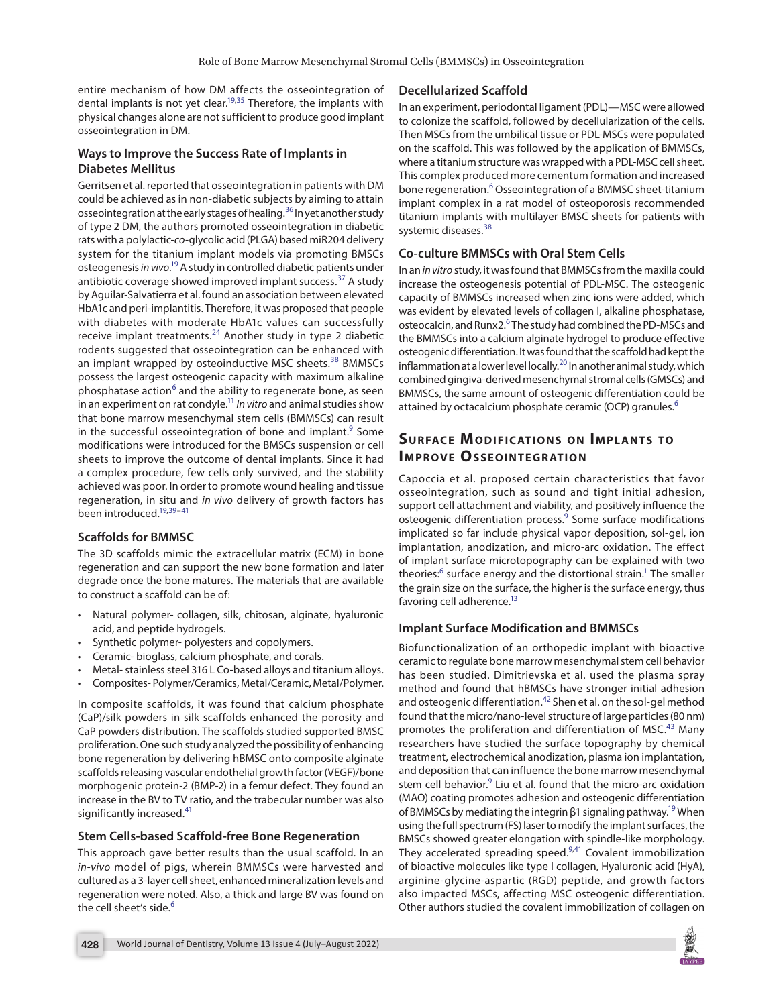entire mechanism of how DM affects the osseointegration of dental implants is not yet clear.<sup>19,35</sup> Therefore, the implants with physical changes alone are not sufficient to produce good implant osseointegration in DM.

#### **Ways to Improve the Success Rate of Implants in Diabetes Mellitus**

Gerritsen et al. reported that osseointegration in patients with DM could be achieved as in non-diabetic subjects by aiming to attain osseointegration at the early stages of healing.<sup>36</sup> In yet another study of type 2 DM, the authors promoted osseointegration in diabetic rats with a polylactic-*co*-glycolic acid (PLGA) based miR204 delivery system for the titanium implant models via promoting BMSCs osteogenesis *in vivo*. [19](#page-5-10) A study in controlled diabetic patients under antibiotic coverage showed improved implant success.<sup>37</sup> A study by Aguilar-Salvatierra et al. found an association between elevated HbA1c and peri-implantitis. Therefore, it was proposed that people with diabetes with moderate HbA1c values can successfully receive implant treatments.<sup>[24](#page-5-15)</sup> Another study in type 2 diabetic rodents suggested that osseointegration can be enhanced with an implant wrapped by osteoinductive MSC sheets.<sup>[38](#page-6-6)</sup> BMMSCs possess the largest osteogenic capacity with maximum alkaline phosphatase action<sup>[6](#page-5-19)</sup> and the ability to regenerate bone, as seen in an experiment on rat condyle[.11](#page-5-24) *In vitro* and animal studies show that bone marrow mesenchymal stem cells (BMMSCs) can result in the successful osseointegration of bone and implant.<sup>[9](#page-5-22)</sup> Some modifications were introduced for the BMSCs suspension or cell sheets to improve the outcome of dental implants. Since it had a complex procedure, few cells only survived, and the stability achieved was poor. In order to promote wound healing and tissue regeneration, in situ and *in vivo* delivery of growth factors has been introduced.<sup>19,[39](#page-6-13)-[41](#page-6-9)</sup>

#### **Scaffolds for BMMSC**

The 3D scaffolds mimic the extracellular matrix (ECM) in bone regeneration and can support the new bone formation and later degrade once the bone matures. The materials that are available to construct a scaffold can be of:

- Natural polymer- collagen, silk, chitosan, alginate, hyaluronic acid, and peptide hydrogels.
- Synthetic polymer- polyesters and copolymers.
- Ceramic- bioglass, calcium phosphate, and corals.
- Metal- stainless steel 316 L Co-based alloys and titanium alloys.
- Composites- Polymer/Ceramics, Metal/Ceramic, Metal/Polymer.

In composite scaffolds, it was found that calcium phosphate (CaP)/silk powders in silk scaffolds enhanced the porosity and CaP powders distribution. The scaffolds studied supported BMSC proliferation. One such study analyzed the possibility of enhancing bone regeneration by delivering hBMSC onto composite alginate scaffolds releasing vascular endothelial growth factor (VEGF)/bone morphogenic protein-2 (BMP-2) in a femur defect. They found an increase in the BV to TV ratio, and the trabecular number was also significantly increased.<sup>[41](#page-6-9)</sup>

#### **Stem Cells-based Scaffold-free Bone Regeneration**

This approach gave better results than the usual scaffold. In an *in-vivo* model of pigs, wherein BMMSCs were harvested and cultured as a 3-layer cell sheet, enhanced mineralization levels and regeneration were noted. Also, a thick and large BV was found on the cell sheet's side.<sup>[6](#page-5-19)</sup>

#### **Decellularized Scaffold**

<span id="page-3-4"></span>In an experiment, periodontal ligament (PDL)—MSC were allowed to colonize the scaffold, followed by decellularization of the cells. Then MSCs from the umbilical tissue or PDL-MSCs were populated on the scaffold. This was followed by the application of BMMSCs, where a titanium structure was wrapped with a PDL-MSC cell sheet. This complex produced more cementum formation and increased bone regeneration.<sup>[6](#page-5-19)</sup> Osseointegration of a BMMSC sheet-titanium implant complex in a rat model of osteoporosis recommended titanium implants with multilayer BMSC sheets for patients with systemic diseases.<sup>[38](#page-6-6)</sup>

#### <span id="page-3-6"></span><span id="page-3-5"></span>**Co-culture BMMSCs with Oral Stem Cells**

In an *in vitro* study, it was found that BMMSCs from the maxilla could increase the osteogenesis potential of PDL-MSC. The osteogenic capacity of BMMSCs increased when zinc ions were added, which was evident by elevated levels of collagen I, alkaline phosphatase, osteocalcin, and Runx2.<sup>[6](#page-5-19)</sup> The study had combined the PD-MSCs and the BMMSCs into a calcium alginate hydrogel to produce effective osteogenic differentiation. It was found that the scaffold had kept the inflammation at a lower level locally.<sup>20</sup> In another animal study, which combined gingiva-derived mesenchymal stromal cells (GMSCs) and BMMSCs, the same amount of osteogenic differentiation could be attained by octacalcium phosphate ceramic (OCP) granules.<sup>[6](#page-5-19)</sup>

## <span id="page-3-7"></span>**SURFACE MODIFICATIONS ON IMPLANTS TO IMPROVE OSSEOINTEGRATION**

<span id="page-3-1"></span><span id="page-3-0"></span>Capoccia et al. proposed certain characteristics that favor osseointegration, such as sound and tight initial adhesion, support cell attachment and viability, and positively influence the osteogenic differentiation process.<sup>[9](#page-5-22)</sup> Some surface modifications implicated so far include physical vapor deposition, sol-gel, ion implantation, anodization, and micro-arc oxidation. The effect of implant surface microtopography can be explained with two theories:<sup>[6](#page-5-19)</sup> surface energy and the distortional strain.<sup>1</sup> The smaller the grain size on the surface, the higher is the surface energy, thus favoring cell adherence.<sup>13</sup>

#### **Implant Surface Modification and BMMSCs**

<span id="page-3-3"></span><span id="page-3-2"></span>Biofunctionalization of an orthopedic implant with bioactive ceramic to regulate bone marrow mesenchymal stem cell behavior has been studied. Dimitrievska et al. used the plasma spray method and found that hBMSCs have stronger initial adhesion and osteogenic differentiation.<sup>42</sup> Shen et al. on the sol-gel method found that the micro/nano-level structure of large particles (80 nm) promotes the proliferation and differentiation of MSC.<sup>[43](#page-6-8)</sup> Many researchers have studied the surface topography by chemical treatment, electrochemical anodization, plasma ion implantation, and deposition that can influence the bone marrow mesenchymal stem cell behavior.<sup>9</sup> Liu et al. found that the micro-arc oxidation (MAO) coating promotes adhesion and osteogenic differentiation of BMMSCs by mediating the integrin β1 signaling pathway.<sup>19</sup> When using the full spectrum (FS) laser to modify the implant surfaces, the BMSCs showed greater elongation with spindle-like morphology. They accelerated spreading speed[.9](#page-5-22),[41](#page-6-9) Covalent immobilization of bioactive molecules like type I collagen, Hyaluronic acid (HyA), arginine-glycine-aspartic (RGD) peptide, and growth factors also impacted MSCs, affecting MSC osteogenic differentiation. Other authors studied the covalent immobilization of collagen on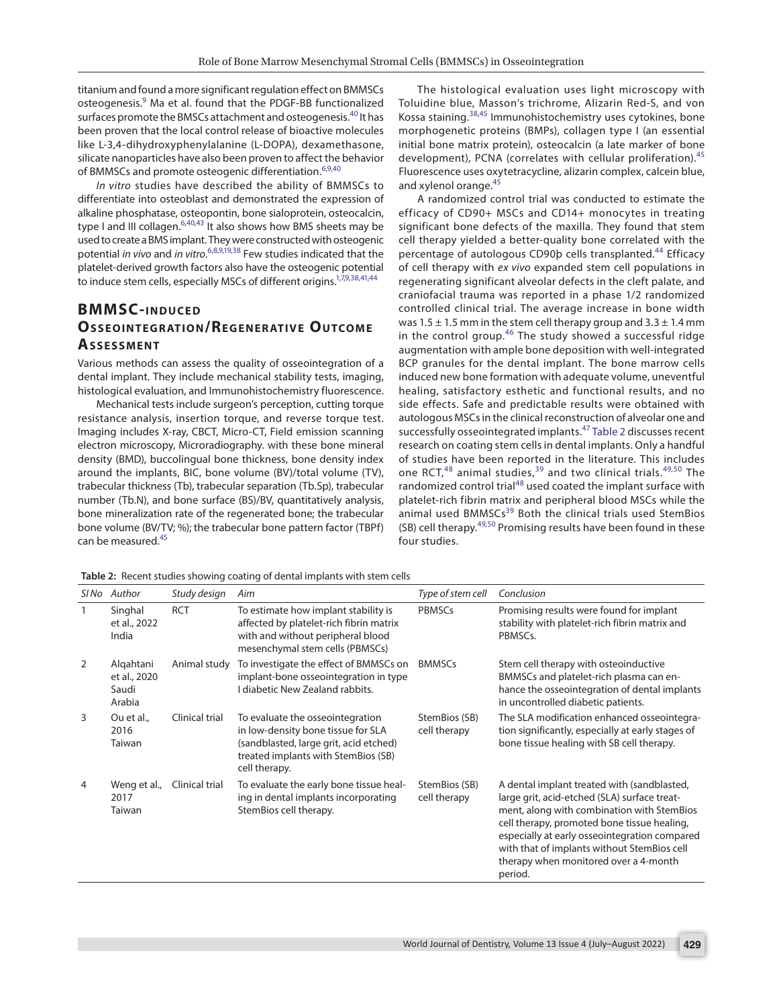titanium and found a more significant regulation effect on BMMSCs osteogenesis.<sup>9</sup> Ma et al. found that the PDGF-BB functionalized surfaces promote the BMSCs attachment and osteogenesis.<sup>40</sup> It has been proven that the local control release of bioactive molecules like L-3,4-dihydroxyphenylalanine (L-DOPA), dexamethasone, silicate nanoparticles have also been proven to affect the behavior of BMMSCs and promote osteogenic differentiation.<sup>[6](#page-5-19)[,9](#page-5-22)[,40](#page-6-21)</sup>

*In vitro* studies have described the ability of BMMSCs to differentiate into osteoblast and demonstrated the expression of alkaline phosphatase, osteopontin, bone sialoprotein, osteocalcin, type I and III collagen.<sup>[6,](#page-5-19)[40](#page-6-21),[43](#page-6-8)</sup> It also shows how BMS sheets may be used to create a BMS implant. They were constructed with osteogenic potential *in vivo* and *in vitro*. [6](#page-5-19),[8,](#page-5-21)[9](#page-5-22)[,19,](#page-5-10)[38](#page-6-6) Few studies indicated that the platelet-derived growth factors also have the osteogenic potential to induce stem cells, especially MSCs of different origins.<sup>1,[7](#page-5-20)[,9](#page-5-22),[38](#page-6-6),[41](#page-6-9),[44](#page-6-15)</sup>

## **BMMSC-INDUCED OSSEOINTEGRATION/REGENERATIVE OUTCOME As s e s sme n t**

Various methods can assess the quality of osseointegration of a dental implant. They include mechanical stability tests, imaging, histological evaluation, and Immunohistochemistry fluorescence.

Mechanical tests include surgeon's perception, cutting torque resistance analysis, insertion torque, and reverse torque test. Imaging includes X-ray, CBCT, Micro-CT, Field emission scanning electron microscopy, Microradiography. with these bone mineral density (BMD), buccolingual bone thickness, bone density index around the implants, BIC, bone volume (BV)/total volume (TV), trabecular thickness (Tb), trabecular separation (Tb.Sp), trabecular number (Tb.N), and bone surface (BS)/BV, quantitatively analysis, bone mineralization rate of the regenerated bone; the trabecular bone volume (BV/TV; %); the trabecular bone pattern factor (TBPf) can be measured[.45](#page-6-14)

<span id="page-4-2"></span>The histological evaluation uses light microscopy with Toluidine blue, Masson's trichrome, Alizarin Red-S, and von Kossa staining.[38](#page-6-6)[,45](#page-6-14) Immunohistochemistry uses cytokines, bone morphogenetic proteins (BMPs), collagen type I (an essential initial bone matrix protein), osteocalcin (a late marker of bone development), PCNA (correlates with cellular proliferation).<sup>[45](#page-6-14)</sup> Fluorescence uses oxytetracycline, alizarin complex, calcein blue, and xylenol orange.[45](#page-6-14)

<span id="page-4-9"></span><span id="page-4-8"></span><span id="page-4-7"></span><span id="page-4-6"></span><span id="page-4-5"></span><span id="page-4-3"></span><span id="page-4-1"></span>A randomized control trial was conducted to estimate the efficacy of CD90+ MSCs and CD14+ monocytes in treating significant bone defects of the maxilla. They found that stem cell therapy yielded a better-quality bone correlated with the percentage of autologous CD90b cells transplanted.<sup>[44](#page-6-15)</sup> Efficacy of cell therapy with *ex vivo* expanded stem cell populations in regenerating significant alveolar defects in the cleft palate, and craniofacial trauma was reported in a phase 1/2 randomized controlled clinical trial. The average increase in bone width was 1.5  $\pm$  1.5 mm in the stem cell therapy group and 3.3  $\pm$  1.4 mm in the control group. $46$  The study showed a successful ridge augmentation with ample bone deposition with well-integrated BCP granules for the dental implant. The bone marrow cells induced new bone formation with adequate volume, uneventful healing, satisfactory esthetic and functional results, and no side effects. Safe and predictable results were obtained with autologous MSCs in the clinical reconstruction of alveolar one and successfully osseointegrated implants.[47](#page-6-17) [Table 2](#page-4-0) discusses recent research on coating stem cells in dental implants. Only a handful of studies have been reported in the literature. This includes one RCT, $48$  animal studies, $39$  and two clinical trials. $49,50$  $49,50$  The randomized control trial<sup>[48](#page-6-18)</sup> used coated the implant surface with platelet-rich fibrin matrix and peripheral blood MSCs while the animal used BMMSCs<sup>[39](#page-6-13)</sup> Both the clinical trials used StemBios  $(SB)$  cell therapy.<sup>[49](#page-6-19),[50](#page-6-20)</sup> Promising results have been found in these four studies.

| SI No | Author                                       | Study design   | Aim                                                                                                                                                                      | Type of stem cell             | Conclusion                                                                                                                                                                                                                                                                                                                                   |
|-------|----------------------------------------------|----------------|--------------------------------------------------------------------------------------------------------------------------------------------------------------------------|-------------------------------|----------------------------------------------------------------------------------------------------------------------------------------------------------------------------------------------------------------------------------------------------------------------------------------------------------------------------------------------|
| 1     | Singhal<br>et al., 2022<br>India             | <b>RCT</b>     | To estimate how implant stability is<br>affected by platelet-rich fibrin matrix<br>with and without peripheral blood<br>mesenchymal stem cells (PBMSCs)                  | <b>PBMSCs</b>                 | Promising results were found for implant<br>stability with platelet-rich fibrin matrix and<br>PBMSCs.                                                                                                                                                                                                                                        |
| 2     | Algahtani<br>et al., 2020<br>Saudi<br>Arabia | Animal study   | To investigate the effect of BMMSCs on<br>implant-bone osseointegration in type<br>I diabetic New Zealand rabbits.                                                       | <b>BMMSCs</b>                 | Stem cell therapy with osteoinductive<br>BMMSCs and platelet-rich plasma can en-<br>hance the osseointegration of dental implants<br>in uncontrolled diabetic patients.                                                                                                                                                                      |
| 3     | Ou et al.,<br>2016<br>Taiwan                 | Clinical trial | To evaluate the osseointegration<br>in low-density bone tissue for SLA<br>(sandblasted, large grit, acid etched)<br>treated implants with StemBios (SB)<br>cell therapy. | StemBios (SB)<br>cell therapy | The SLA modification enhanced osseointegra-<br>tion significantly, especially at early stages of<br>bone tissue healing with SB cell therapy.                                                                                                                                                                                                |
| 4     | Weng et al.,<br>2017<br>Taiwan               | Clinical trial | To evaluate the early bone tissue heal-<br>ing in dental implants incorporating<br>StemBios cell therapy.                                                                | StemBios (SB)<br>cell therapy | A dental implant treated with (sandblasted,<br>large grit, acid-etched (SLA) surface treat-<br>ment, along with combination with StemBios<br>cell therapy, promoted bone tissue healing,<br>especially at early osseointegration compared<br>with that of implants without StemBios cell<br>therapy when monitored over a 4-month<br>period. |

<span id="page-4-4"></span><span id="page-4-0"></span>**[Table 2:](#page-4-1)** Recent studies showing coating of dental implants with stem cells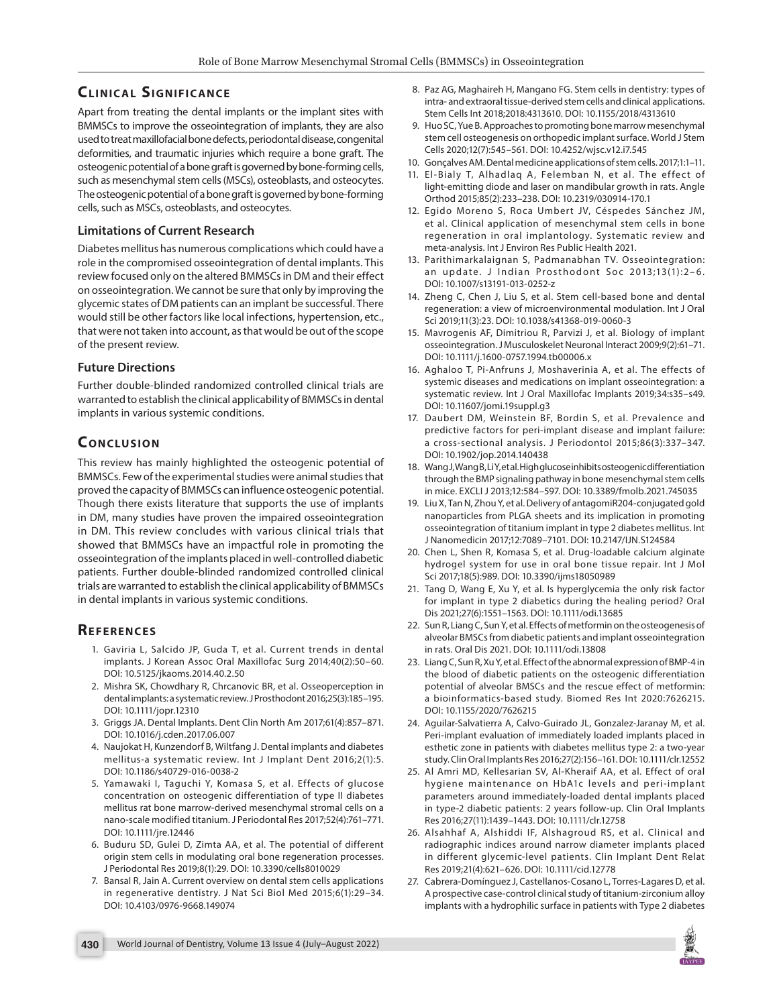# **CLINICAL SIGNIFICANCE**

Apart from treating the dental implants or the implant sites with BMMSCs to improve the osseointegration of implants, they are also used to treat maxillofacial bone defects, periodontal disease, congenital deformities, and traumatic injuries which require a bone graft. The osteogenic potential of a bone graft is governed by bone-forming cells, such as mesenchymal stem cells (MSCs), osteoblasts, and osteocytes. The osteogenic potential of a bone graft is governed by bone-forming cells, such as MSCs, osteoblasts, and osteocytes.

#### **Limitations of Current Research**

Diabetes mellitus has numerous complications which could have a role in the compromised osseointegration of dental implants. This review focused only on the altered BMMSCs in DM and their effect on osseointegration. We cannot be sure that only by improving the glycemic states of DM patients can an implant be successful. There would still be other factors like local infections, hypertension, etc., that were not taken into account, as that would be out of the scope of the present review.

#### **Future Directions**

Further double-blinded randomized controlled clinical trials are warranted to establish the clinical applicability of BMMSCs in dental implants in various systemic conditions.

# **CONCLUSION**

This review has mainly highlighted the osteogenic potential of BMMSCs. Few of the experimental studies were animal studies that proved the capacity of BMMSCs can influence osteogenic potential. Though there exists literature that supports the use of implants in DM, many studies have proven the impaired osseointegration in DM. This review concludes with various clinical trials that showed that BMMSCs have an impactful role in promoting the osseointegration of the implants placed in well-controlled diabetic patients. Further double-blinded randomized controlled clinical trials are warranted to establish the clinical applicability of BMMSCs in dental implants in various systemic conditions.

#### **Re f e r e n c e s**

- <span id="page-5-2"></span>[1.](#page-0-0) Gaviria L, Salcido JP, Guda T, et al. Current trends in dental implants. J Korean Assoc Oral Maxillofac Surg 2014;40(2):50–60. DOI: [10.5125/jkaoms.2014.40.2.50](https://doi.org/10.5125/jkaoms.2014.40.2.50)
- <span id="page-5-3"></span>[2.](#page-0-1) Mishra SK, Chowdhary R, Chrcanovic BR, et al. Osseoperception in dental implants: a systematic review. J Prosthodont 2016;25(3):185–195. DOI: [10.1111/jopr.12310](https://doi.org/10.1111/jopr.12310)
- <span id="page-5-4"></span>[3.](#page-0-2) Griggs JA. Dental Implants. Dent Clin North Am 2017;61(4):857–871. DOI: [10.1016/j.cden.2017.06.007](https://doi.org/10.1016/j.cden.2017.06.007)
- <span id="page-5-0"></span>[4.](#page-0-3) Naujokat H, Kunzendorf B, Wiltfang J. Dental implants and diabetes mellitus-a systematic review. Int J Implant Dent 2016;2(1):5. DOI: 10.1186/s40729-016-0038-2
- <span id="page-5-1"></span>[5.](#page-0-4) Yamawaki I, Taguchi Y, Komasa S, et al. Effects of glucose concentration on osteogenic differentiation of type II diabetes mellitus rat bone marrow-derived mesenchymal stromal cells on a nano-scale modified titanium. J Periodontal Res 2017;52(4):761–771. DOI: 10.1111/jre.12446
- <span id="page-5-19"></span>[6.](#page-1-21) Buduru SD, Gulei D, Zimta AA, et al. The potential of different origin stem cells in modulating oral bone regeneration processes. J Periodontal Res 2019;8(1):29. DOI: 10.3390/cells8010029
- <span id="page-5-20"></span>[7.](#page-1-22) Bansal R, Jain A. Current overview on dental stem cells applications in regenerative dentistry. J Nat Sci Biol Med 2015;6(1):29–34. DOI: 10.4103/0976-9668.149074
- <span id="page-5-21"></span>[8.](#page-1-1) Paz AG, Maghaireh H, Mangano FG. Stem cells in dentistry: types of intra- and extraoral tissue-derived stem cells and clinical applications. Stem Cells Int 2018;2018:4313610. DOI: 10.1155/2018/4313610
- <span id="page-5-22"></span>[9.](#page-1-2) Huo SC, Yue B. Approaches to promoting bone marrow mesenchymal stem cell osteogenesis on orthopedic implant surface. World J Stem Cells 2020;12(7):545–561. DOI: 10.4252/wjsc.v12.i7.545
- <span id="page-5-23"></span>[10.](#page-1-3) Gonçalves AM. Dental medicine applications of stem cells. 2017;1:1–11.
- <span id="page-5-24"></span>[11.](#page-1-4) El-Bialy T, Alhadlag A, Felemban N, et al. The effect of light-emitting diode and laser on mandibular growth in rats. Angle Orthod 2015;85(2):233–238. DOI: 10.2319/030914-170.1
- <span id="page-5-25"></span>[12.](#page-1-5) Egido Moreno S, Roca Umbert JV, Céspedes Sánchez JM, et al. Clinical application of mesenchymal stem cells in bone regeneration in oral implantology. Systematic review and meta-analysis. Int J Environ Res Public Health 2021.
- <span id="page-5-26"></span>[13.](#page-1-6) Parithimarkalaignan S, Padmanabhan TV. Osseointegration: an update. J Indian Prosthodont Soc 2013;13(1): $2-6$ . DOI: 10.1007/s13191-013-0252-z
- <span id="page-5-5"></span>[14.](#page-1-7) Zheng C, Chen J, Liu S, et al. Stem cell-based bone and dental regeneration: a view of microenvironmental modulation. Int J Oral Sci 2019;11(3):23. DOI: 10.1038/s41368-019-0060-3
- <span id="page-5-6"></span>[15.](#page-1-8) Mavrogenis AF, Dimitriou R, Parvizi J, et al. Biology of implant osseointegration. J Musculoskelet Neuronal Interact 2009;9(2):61–71. DOI: 10.1111/j.1600-0757.1994.tb00006.x
- <span id="page-5-7"></span>[16.](#page-1-9) Aghaloo T, Pi-Anfruns J, Moshaverinia A, et al. The effects of systemic diseases and medications on implant osseointegration: a systematic review. Int J Oral Maxillofac Implants 2019;34:s35–s49. DOI: 10.11607/jomi.19suppl.g3
- <span id="page-5-8"></span>[17.](#page-1-10) Daubert DM, Weinstein BF, Bordin S, et al. Prevalence and predictive factors for peri-implant disease and implant failure: a cross-sectional analysis. J Periodontol 2015;86(3):337–347. DOI: 10.1902/jop.2014.140438
- <span id="page-5-9"></span>[18.](#page-1-11) Wang J, Wang B, Li Y, et al. High glucose inhibits osteogenic differentiation through the BMP signaling pathway in bone mesenchymal stem cells in mice. EXCLI J 2013;12:584–597. DOI: 10.3389/fmolb.2021.745035
- <span id="page-5-10"></span>[19.](#page-1-12) Liu X, Tan N, Zhou Y, et al. Delivery of antagomiR204-conjugated gold nanoparticles from PLGA sheets and its implication in promoting osseointegration of titanium implant in type 2 diabetes mellitus. Int J Nanomedicin 2017;12:7089–7101. DOI: 10.2147/IJN.S124584
- <span id="page-5-11"></span>[20.](#page-1-13) Chen L, Shen R, Komasa S, et al. Drug-loadable calcium alginate hydrogel system for use in oral bone tissue repair. Int J Mol Sci 2017;18(5):989. DOI: 10.3390/ijms18050989
- <span id="page-5-12"></span>[21.](#page-1-14) Tang D, Wang E, Xu Y, et al. Is hyperglycemia the only risk factor for implant in type 2 diabetics during the healing period? Oral Dis 2021;27(6):1551–1563. DOI: 10.1111/odi.13685
- <span id="page-5-13"></span>[22.](#page-1-15) Sun R, Liang C, Sun Y, et al. Effects of metformin on the osteogenesis of alveolar BMSCs from diabetic patients and implant osseointegration in rats. Oral Dis 2021. DOI: 10.1111/odi.13808
- <span id="page-5-14"></span>[23.](#page-1-16) Liang C, Sun R, Xu Y, et al. Effect of the abnormal expression of BMP-4 in the blood of diabetic patients on the osteogenic differentiation potential of alveolar BMSCs and the rescue effect of metformin: a bioinformatics-based study. Biomed Res Int 2020:7626215. DOI: 10.1155/2020/7626215
- <span id="page-5-15"></span>[24.](#page-1-17) Aguilar-Salvatierra A, Calvo-Guirado JL, Gonzalez-Jaranay M, et al. Peri-implant evaluation of immediately loaded implants placed in esthetic zone in patients with diabetes mellitus type 2: a two-year study. Clin Oral Implants Res 2016;27(2):156–161. DOI: 10.1111/clr.12552
- <span id="page-5-17"></span>[25.](#page-1-18) Al Amri MD, Kellesarian SV, Al-Kheraif AA, et al. Effect of oral hygiene maintenance on HbA1c levels and peri-implant parameters around immediately-loaded dental implants placed in type-2 diabetic patients: 2 years follow-up. Clin Oral Implants Res 2016;27(11):1439–1443. DOI: 10.1111/clr.12758
- <span id="page-5-16"></span>[26.](#page-1-19) Alsahhaf A, Alshiddi IF, Alshagroud RS, et al. Clinical and radiographic indices around narrow diameter implants placed in different glycemic-level patients. Clin Implant Dent Relat Res 2019;21(4):621–626. DOI: 10.1111/cid.12778
- <span id="page-5-18"></span>[27.](#page-1-20) Cabrera-Domínguez J, Castellanos-Cosano L, Torres-Lagares D, et al. A prospective case-control clinical study of titanium-zirconium alloy implants with a hydrophilic surface in patients with Type 2 diabetes